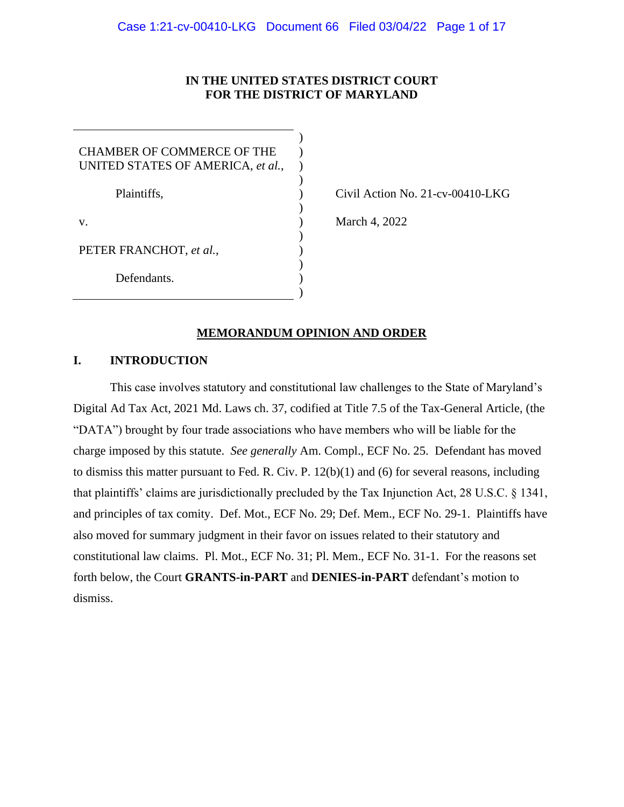# **IN THE UNITED STATES DISTRICT COURT FOR THE DISTRICT OF MARYLAND**

| CHAMBER OF COMMERCE OF THE<br>UNITED STATES OF AMERICA, et al., |  |
|-----------------------------------------------------------------|--|
| Plaintiffs,                                                     |  |
| V.                                                              |  |
| PETER FRANCHOT, et al.,                                         |  |
| Defendants.                                                     |  |

Civil Action No. 21-cv-00410-LKG

March 4, 2022

# **MEMORANDUM OPINION AND ORDER**

# **I. INTRODUCTION**

This case involves statutory and constitutional law challenges to the State of Maryland's Digital Ad Tax Act, 2021 Md. Laws ch. 37, codified at Title 7.5 of the Tax-General Article, (the "DATA") brought by four trade associations who have members who will be liable for the charge imposed by this statute. *See generally* Am. Compl., ECF No. 25. Defendant has moved to dismiss this matter pursuant to Fed. R. Civ. P. 12(b)(1) and (6) for several reasons, including that plaintiffs' claims are jurisdictionally precluded by the Tax Injunction Act, 28 U.S.C. § 1341, and principles of tax comity. Def. Mot., ECF No. 29; Def. Mem., ECF No. 29-1. Plaintiffs have also moved for summary judgment in their favor on issues related to their statutory and constitutional law claims. Pl. Mot., ECF No. 31; Pl. Mem., ECF No. 31-1. For the reasons set forth below, the Court **GRANTS-in-PART** and **DENIES-in-PART** defendant's motion to dismiss.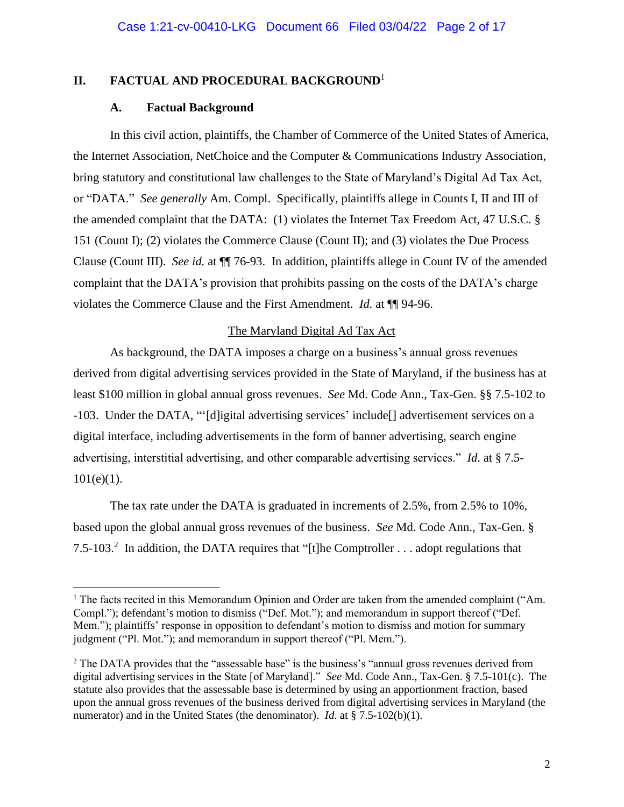# **II. FACTUAL AND PROCEDURAL BACKGROUND**<sup>1</sup>

### **A. Factual Background**

In this civil action, plaintiffs, the Chamber of Commerce of the United States of America, the Internet Association, NetChoice and the Computer & Communications Industry Association, bring statutory and constitutional law challenges to the State of Maryland's Digital Ad Tax Act, or "DATA." *See generally* Am. Compl. Specifically, plaintiffs allege in Counts I, II and III of the amended complaint that the DATA: (1) violates the Internet Tax Freedom Act, 47 U.S.C. § 151 (Count I); (2) violates the Commerce Clause (Count II); and (3) violates the Due Process Clause (Count III). *See id.* at ¶¶ 76-93. In addition, plaintiffs allege in Count IV of the amended complaint that the DATA's provision that prohibits passing on the costs of the DATA's charge violates the Commerce Clause and the First Amendment. *Id.* at ¶¶ 94-96.

### The Maryland Digital Ad Tax Act

As background, the DATA imposes a charge on a business's annual gross revenues derived from digital advertising services provided in the State of Maryland, if the business has at least \$100 million in global annual gross revenues. *See* Md. Code Ann., Tax-Gen. §§ 7.5-102 to -103. Under the DATA, "'[d]igital advertising services' include[] advertisement services on a digital interface, including advertisements in the form of banner advertising, search engine advertising, interstitial advertising, and other comparable advertising services." *Id*. at § 7.5-  $101(e)(1)$ .

The tax rate under the DATA is graduated in increments of 2.5%, from 2.5% to 10%, based upon the global annual gross revenues of the business. *See* Md. Code Ann., Tax-Gen. § 7.5-103.<sup>2</sup> In addition, the DATA requires that "[t]he Comptroller . . . adopt regulations that

<sup>&</sup>lt;sup>1</sup> The facts recited in this Memorandum Opinion and Order are taken from the amended complaint ("Am. Compl."); defendant's motion to dismiss ("Def. Mot."); and memorandum in support thereof ("Def. Mem."); plaintiffs' response in opposition to defendant's motion to dismiss and motion for summary judgment ("Pl. Mot."); and memorandum in support thereof ("Pl. Mem.").

<sup>&</sup>lt;sup>2</sup> The DATA provides that the "assessable base" is the business's "annual gross revenues derived from digital advertising services in the State [of Maryland]." *See* Md. Code Ann., Tax-Gen. § 7.5-101(c). The statute also provides that the assessable base is determined by using an apportionment fraction, based upon the annual gross revenues of the business derived from digital advertising services in Maryland (the numerator) and in the United States (the denominator). *Id*. at § 7.5-102(b)(1).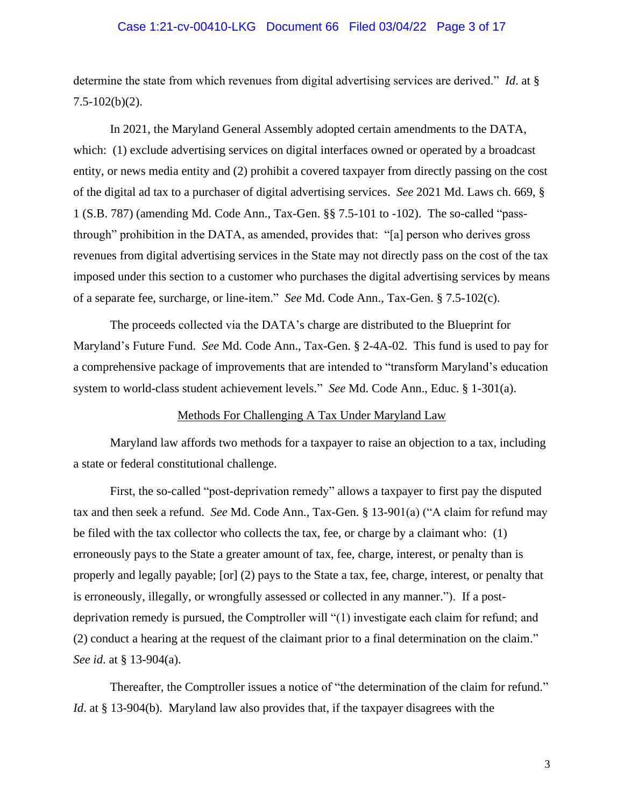### Case 1:21-cv-00410-LKG Document 66 Filed 03/04/22 Page 3 of 17

determine the state from which revenues from digital advertising services are derived." *Id*. at §  $7.5 - 102(b)(2)$ .

In 2021, the Maryland General Assembly adopted certain amendments to the DATA, which: (1) exclude advertising services on digital interfaces owned or operated by a broadcast entity, or news media entity and (2) prohibit a covered taxpayer from directly passing on the cost of the digital ad tax to a purchaser of digital advertising services. *See* 2021 Md. Laws ch. 669, § 1 (S.B. 787) (amending Md. Code Ann., Tax-Gen. §§ 7.5-101 to -102). The so-called "passthrough" prohibition in the DATA, as amended, provides that: "[a] person who derives gross revenues from digital advertising services in the State may not directly pass on the cost of the tax imposed under this section to a customer who purchases the digital advertising services by means of a separate fee, surcharge, or line-item." *See* Md. Code Ann., Tax-Gen. § 7.5-102(c).

The proceeds collected via the DATA's charge are distributed to the Blueprint for Maryland's Future Fund. *See* Md. Code Ann., Tax-Gen. § 2-4A-02. This fund is used to pay for a comprehensive package of improvements that are intended to "transform Maryland's education system to world-class student achievement levels." *See* Md. Code Ann., Educ. § 1-301(a).

### Methods For Challenging A Tax Under Maryland Law

Maryland law affords two methods for a taxpayer to raise an objection to a tax, including a state or federal constitutional challenge.

First, the so-called "post-deprivation remedy" allows a taxpayer to first pay the disputed tax and then seek a refund. *See* Md. Code Ann., Tax-Gen. § 13-901(a) ("A claim for refund may be filed with the tax collector who collects the tax, fee, or charge by a claimant who: (1) erroneously pays to the State a greater amount of tax, fee, charge, interest, or penalty than is properly and legally payable; [or] (2) pays to the State a tax, fee, charge, interest, or penalty that is erroneously, illegally, or wrongfully assessed or collected in any manner."). If a postdeprivation remedy is pursued, the Comptroller will "(1) investigate each claim for refund; and (2) conduct a hearing at the request of the claimant prior to a final determination on the claim." *See id*. at § 13-904(a).

Thereafter, the Comptroller issues a notice of "the determination of the claim for refund." *Id*. at § 13-904(b). Maryland law also provides that, if the taxpayer disagrees with the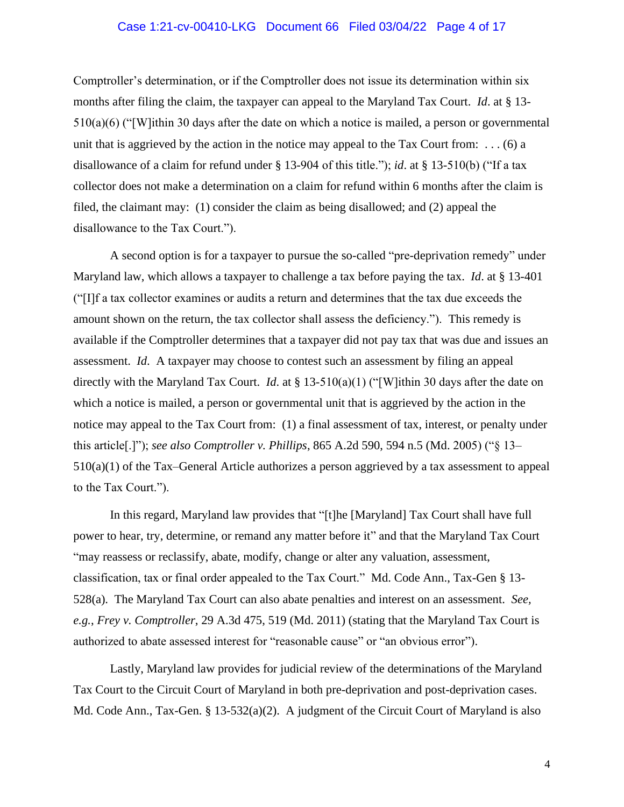# Case 1:21-cv-00410-LKG Document 66 Filed 03/04/22 Page 4 of 17

Comptroller's determination, or if the Comptroller does not issue its determination within six months after filing the claim, the taxpayer can appeal to the Maryland Tax Court. *Id*. at § 13- 510(a)(6) ("[W]ithin 30 days after the date on which a notice is mailed, a person or governmental unit that is aggrieved by the action in the notice may appeal to the Tax Court from:  $\dots$  (6) a disallowance of a claim for refund under § 13-904 of this title."); *id*. at § 13-510(b) ("If a tax collector does not make a determination on a claim for refund within 6 months after the claim is filed, the claimant may: (1) consider the claim as being disallowed; and (2) appeal the disallowance to the Tax Court.").

A second option is for a taxpayer to pursue the so-called "pre-deprivation remedy" under Maryland law, which allows a taxpayer to challenge a tax before paying the tax. *Id*. at § 13-401 ("[I]f a tax collector examines or audits a return and determines that the tax due exceeds the amount shown on the return, the tax collector shall assess the deficiency."). This remedy is available if the Comptroller determines that a taxpayer did not pay tax that was due and issues an assessment. *Id*. A taxpayer may choose to contest such an assessment by filing an appeal directly with the Maryland Tax Court. *Id*. at § 13-510(a)(1) ("[W]ithin 30 days after the date on which a notice is mailed, a person or governmental unit that is aggrieved by the action in the notice may appeal to the Tax Court from: (1) a final assessment of tax, interest, or penalty under this article[.]"); *see also Comptroller v. Phillips*, 865 A.2d 590, 594 n.5 (Md. 2005) ("§ 13– 510(a)(1) of the Tax–General Article authorizes a person aggrieved by a tax assessment to appeal to the Tax Court.").

In this regard, Maryland law provides that "[t]he [Maryland] Tax Court shall have full power to hear, try, determine, or remand any matter before it" and that the Maryland Tax Court "may reassess or reclassify, abate, modify, change or alter any valuation, assessment, classification, tax or final order appealed to the Tax Court." Md. Code Ann., Tax-Gen § 13- 528(a). The Maryland Tax Court can also abate penalties and interest on an assessment. *See, e.g.*, *Frey v. Comptroller*, 29 A.3d 475, 519 (Md. 2011) (stating that the Maryland Tax Court is authorized to abate assessed interest for "reasonable cause" or "an obvious error").

Lastly, Maryland law provides for judicial review of the determinations of the Maryland Tax Court to the Circuit Court of Maryland in both pre-deprivation and post-deprivation cases. Md. Code Ann., Tax-Gen. § 13-532(a)(2). A judgment of the Circuit Court of Maryland is also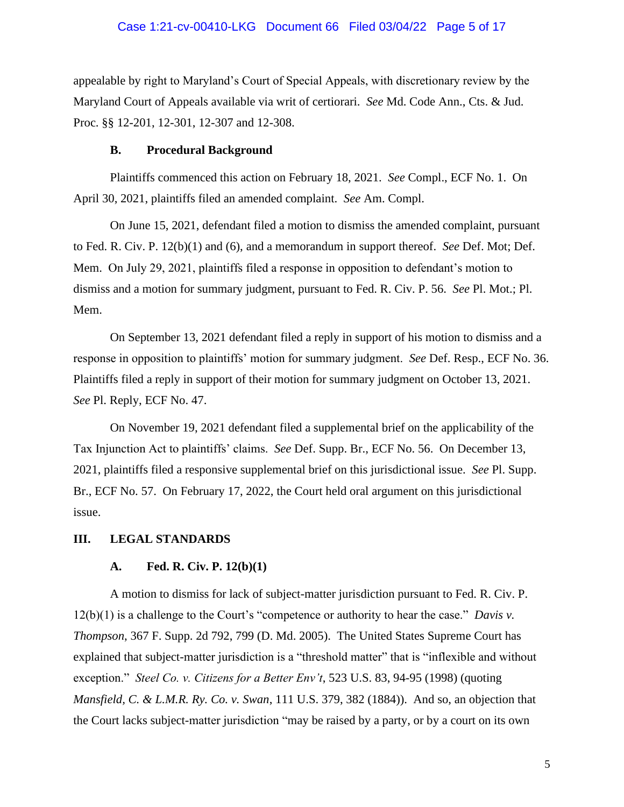### Case 1:21-cv-00410-LKG Document 66 Filed 03/04/22 Page 5 of 17

appealable by right to Maryland's Court of Special Appeals, with discretionary review by the Maryland Court of Appeals available via writ of certiorari. *See* Md. Code Ann., Cts. & Jud. Proc. §§ 12-201, 12-301, 12-307 and 12-308.

#### **B. Procedural Background**

Plaintiffs commenced this action on February 18, 2021. *See* Compl., ECF No. 1. On April 30, 2021, plaintiffs filed an amended complaint. *See* Am. Compl.

On June 15, 2021, defendant filed a motion to dismiss the amended complaint, pursuant to Fed. R. Civ. P. 12(b)(1) and (6), and a memorandum in support thereof. *See* Def. Mot; Def. Mem. On July 29, 2021, plaintiffs filed a response in opposition to defendant's motion to dismiss and a motion for summary judgment, pursuant to Fed. R. Civ. P. 56. *See* Pl. Mot.; Pl. Mem.

On September 13, 2021 defendant filed a reply in support of his motion to dismiss and a response in opposition to plaintiffs' motion for summary judgment. *See* Def. Resp., ECF No. 36. Plaintiffs filed a reply in support of their motion for summary judgment on October 13, 2021. *See* Pl. Reply, ECF No. 47.

On November 19, 2021 defendant filed a supplemental brief on the applicability of the Tax Injunction Act to plaintiffs' claims. *See* Def. Supp. Br., ECF No. 56. On December 13, 2021, plaintiffs filed a responsive supplemental brief on this jurisdictional issue. *See* Pl. Supp. Br., ECF No. 57. On February 17, 2022, the Court held oral argument on this jurisdictional issue.

#### **III. LEGAL STANDARDS**

# **A. Fed. R. Civ. P. 12(b)(1)**

A motion to dismiss for lack of subject-matter jurisdiction pursuant to Fed. R. Civ. P. 12(b)(1) is a challenge to the Court's "competence or authority to hear the case." *Davis v. Thompson*, 367 F. Supp. 2d 792, 799 (D. Md. 2005). The United States Supreme Court has explained that subject-matter jurisdiction is a "threshold matter" that is "inflexible and without exception." *Steel Co. v. Citizens for a Better Env't*, 523 U.S. 83, 94-95 (1998) (quoting *Mansfield, C. & L.M.R. Ry. Co. v. Swan*, 111 U.S. 379, 382 (1884)). And so, an objection that the Court lacks subject-matter jurisdiction "may be raised by a party, or by a court on its own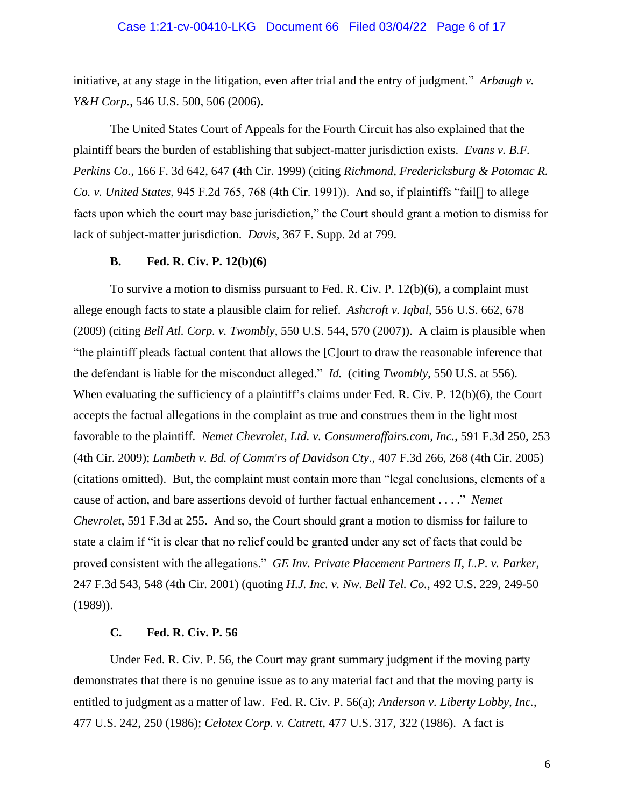#### Case 1:21-cv-00410-LKG Document 66 Filed 03/04/22 Page 6 of 17

initiative, at any stage in the litigation, even after trial and the entry of judgment." *Arbaugh v. Y&H Corp.*, 546 U.S. 500, 506 (2006).

The United States Court of Appeals for the Fourth Circuit has also explained that the plaintiff bears the burden of establishing that subject-matter jurisdiction exists. *Evans v. B.F. Perkins Co.*, 166 F. 3d 642, 647 (4th Cir. 1999) (citing *Richmond, Fredericksburg & Potomac R. Co. v. United States*, 945 F.2d 765, 768 (4th Cir. 1991)). And so, if plaintiffs "fail[] to allege facts upon which the court may base jurisdiction," the Court should grant a motion to dismiss for lack of subject-matter jurisdiction. *Davis*, 367 F. Supp. 2d at 799.

#### **B. Fed. R. Civ. P. 12(b)(6)**

To survive a motion to dismiss pursuant to Fed. R. Civ. P. 12(b)(6), a complaint must allege enough facts to state a plausible claim for relief. *Ashcroft v. Iqbal*, 556 U.S. 662, 678 (2009) (citing *Bell Atl. Corp. v. Twombly*, 550 U.S. 544, 570 (2007)). A claim is plausible when "the plaintiff pleads factual content that allows the [C]ourt to draw the reasonable inference that the defendant is liable for the misconduct alleged." *Id.* (citing *Twombly*, 550 U.S. at 556). When evaluating the sufficiency of a plaintiff's claims under Fed. R. Civ. P. 12(b)(6), the Court accepts the factual allegations in the complaint as true and construes them in the light most favorable to the plaintiff. *Nemet Chevrolet, Ltd. v. Consumeraffairs.com, Inc.*, 591 F.3d 250, 253 (4th Cir. 2009); *Lambeth v. Bd. of Comm'rs of Davidson Cty.*, 407 F.3d 266, 268 (4th Cir. 2005) (citations omitted). But, the complaint must contain more than "legal conclusions, elements of a cause of action, and bare assertions devoid of further factual enhancement . . . ." *Nemet Chevrolet*, 591 F.3d at 255. And so, the Court should grant a motion to dismiss for failure to state a claim if "it is clear that no relief could be granted under any set of facts that could be proved consistent with the allegations." *GE Inv. Private Placement Partners II, L.P. v. Parker,* 247 F.3d 543, 548 (4th Cir. 2001) (quoting *H.J. Inc. v. Nw. Bell Tel. Co.,* 492 U.S. 229, 249-50 (1989)).

#### **C. Fed. R. Civ. P. 56**

Under Fed. R. Civ. P. 56, the Court may grant summary judgment if the moving party demonstrates that there is no genuine issue as to any material fact and that the moving party is entitled to judgment as a matter of law. Fed. R. Civ. P. 56(a); *Anderson v. Liberty Lobby, Inc.*, 477 U.S. 242, 250 (1986); *Celotex Corp. v. Catrett*, 477 U.S. 317, 322 (1986). A fact is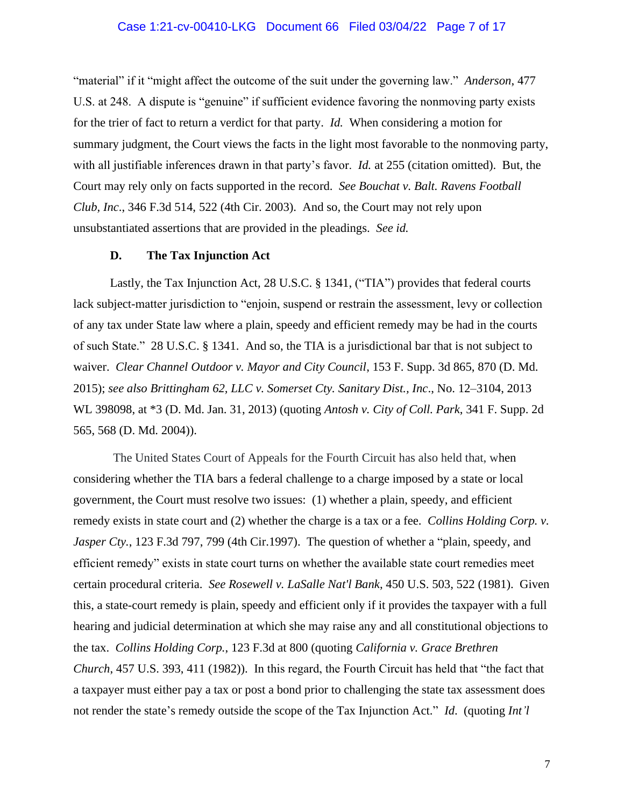## Case 1:21-cv-00410-LKG Document 66 Filed 03/04/22 Page 7 of 17

"material" if it "might affect the outcome of the suit under the governing law." *Anderson*, 477 U.S. at 248. A dispute is "genuine" if sufficient evidence favoring the nonmoving party exists for the trier of fact to return a verdict for that party. *Id.* When considering a motion for summary judgment, the Court views the facts in the light most favorable to the nonmoving party, with all justifiable inferences drawn in that party's favor. *Id.* at 255 (citation omitted). But, the Court may rely only on facts supported in the record. *See Bouchat v. Balt. Ravens Football Club, Inc*., 346 F.3d 514, 522 (4th Cir. 2003). And so, the Court may not rely upon unsubstantiated assertions that are provided in the pleadings. *See id.*

#### **D. The Tax Injunction Act**

Lastly, the Tax Injunction Act, [28 U.S.C. § 1341,](https://1.next.westlaw.com/Link/Document/FullText?findType=L&pubNum=1000546&cite=28USCAS1341&originatingDoc=Iaa639b10adf711e5b10893af99153f48&refType=LQ&originationContext=document&transitionType=DocumentItem&ppcid=f188b5ee68c04b878903a55aeef1f465&contextData=(sc.History*oc.Default)) ("TIA") provides that federal courts lack subject-matter jurisdiction to "enjoin, suspend or restrain the assessment, levy or collection of any tax under State law where a plain, speedy and efficient remedy may be had in the courts of such State." [28 U.S.C. § 1341.](https://1.next.westlaw.com/Link/Document/FullText?findType=L&pubNum=1000546&cite=28USCAS1341&originatingDoc=Iaa639b10adf711e5b10893af99153f48&refType=LQ&originationContext=document&transitionType=DocumentItem&ppcid=f188b5ee68c04b878903a55aeef1f465&contextData=(sc.History*oc.Default)) And so, the TIA is a jurisdictional bar that is not subject to waiver. *Clear Channel Outdoor v. Mayor and City Council*, 153 F. Supp. 3d 865, 870 (D. Md. 2015); *see also [Brittingham 62, LLC v. Somerset Cty. Sanitary Dist., Inc](https://1.next.westlaw.com/Link/Document/FullText?findType=Y&serNum=2029785962&pubNum=0000999&originatingDoc=Iaa639b10adf711e5b10893af99153f48&refType=RP&originationContext=document&transitionType=DocumentItem&ppcid=f188b5ee68c04b878903a55aeef1f465&contextData=(sc.History*oc.Default))*., No. 12–3104, 2013 [WL 398098, at \\*3 \(D.](https://1.next.westlaw.com/Link/Document/FullText?findType=Y&serNum=2029785962&pubNum=0000999&originatingDoc=Iaa639b10adf711e5b10893af99153f48&refType=RP&originationContext=document&transitionType=DocumentItem&ppcid=f188b5ee68c04b878903a55aeef1f465&contextData=(sc.History*oc.Default)) Md. Jan. 31, 2013) (quoting *[Antosh v. City of Coll. Park](https://1.next.westlaw.com/Link/Document/FullText?findType=Y&serNum=2005394271&pubNum=0004637&originatingDoc=Iaa639b10adf711e5b10893af99153f48&refType=RP&fi=co_pp_sp_4637_568&originationContext=document&transitionType=DocumentItem&ppcid=f188b5ee68c04b878903a55aeef1f465&contextData=(sc.History*oc.Default)#co_pp_sp_4637_568)*, 341 F. Supp. 2d [565, 568 \(D.](https://1.next.westlaw.com/Link/Document/FullText?findType=Y&serNum=2005394271&pubNum=0004637&originatingDoc=Iaa639b10adf711e5b10893af99153f48&refType=RP&fi=co_pp_sp_4637_568&originationContext=document&transitionType=DocumentItem&ppcid=f188b5ee68c04b878903a55aeef1f465&contextData=(sc.History*oc.Default)#co_pp_sp_4637_568) Md. 2004)).

The United States Court of Appeals for the Fourth Circuit has also held that, when considering whether the TIA bars a federal challenge to a charge imposed by a state or local government, the Court must resolve two issues: (1) whether a plain, speedy, and efficient remedy exists in state court and (2) whether the charge is a tax or a fee. *[Collins Holding Corp. v.](https://1.next.westlaw.com/Link/Document/FullText?findType=Y&serNum=1997181990&pubNum=0000506&originatingDoc=Iaa639b10adf711e5b10893af99153f48&refType=RP&fi=co_pp_sp_506_799&originationContext=document&transitionType=DocumentItem&ppcid=f188b5ee68c04b878903a55aeef1f465&contextData=(sc.History*oc.Default)#co_pp_sp_506_799)  Jasper Cty.*[, 123 F.3d 797, 799 \(4th Cir.1997\).](https://1.next.westlaw.com/Link/Document/FullText?findType=Y&serNum=1997181990&pubNum=0000506&originatingDoc=Iaa639b10adf711e5b10893af99153f48&refType=RP&fi=co_pp_sp_506_799&originationContext=document&transitionType=DocumentItem&ppcid=f188b5ee68c04b878903a55aeef1f465&contextData=(sc.History*oc.Default)#co_pp_sp_506_799) The question of whether a "plain, speedy, and efficient remedy" exists in state court turns on whether the available state court remedies meet certain procedural criteria. *See Rosewell v. LaSalle Nat'l Bank*, [450 U.S. 503, 522](https://casetext.com/case/rosewell-v-lasalle-national-bank#p521) (1981). Given this, a state-court remedy is plain, speedy and efficient only if it provides the taxpayer with a full hearing and judicial determination at which she may raise any and all constitutional objections to the tax. *[Collins Holding Corp.](https://1.next.westlaw.com/Link/Document/FullText?findType=Y&serNum=1997181990&pubNum=0000506&originatingDoc=Iaa639b10adf711e5b10893af99153f48&refType=RP&fi=co_pp_sp_506_799&originationContext=document&transitionType=DocumentItem&ppcid=f188b5ee68c04b878903a55aeef1f465&contextData=(sc.History*oc.Default)#co_pp_sp_506_799)*, 123 F.3d at 800 (quoting *California v. Grace Brethren Church*, [457 U.S. 393, 411](https://casetext.com/case/california-v-grace-brethren-church#p411) (1982)). In this regard, the Fourth Circuit has held that "the fact that a taxpayer must either pay a tax or post a bond prior to challenging the state tax assessment does not render the state's remedy outside the scope of the Tax Injunction Act." *Id*. (quoting *Int'l*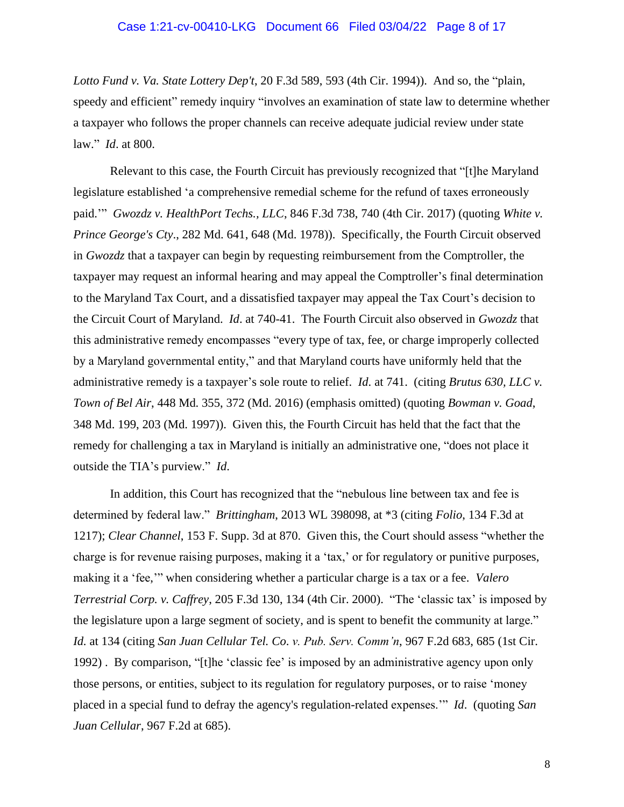### Case 1:21-cv-00410-LKG Document 66 Filed 03/04/22 Page 8 of 17

*Lotto Fund v. Va. State Lottery Dep't*, [20 F.3d 589, 593](https://casetext.com/case/int-lotto-fd-v-virginia-state-lo#p593) (4th Cir. 1994)). And so, the "plain, speedy and efficient" remedy inquiry "involves an examination of state law to determine whether a taxpayer who follows the proper channels can receive adequate judicial review under state law." *Id*. at 800.

Relevant to this case, the Fourth Circuit has previously recognized that "[t]he Maryland legislature established 'a comprehensive remedial scheme for the refund of taxes erroneously paid.'" *Gwozdz v. HealthPort Techs., LLC*, 846 F.3d 738, 740 (4th Cir. 2017) (quoting *White v. Prince George's Cty*., [282 Md. 641,](https://casetext.com/case/white-v-prince-georges-co) 648 (Md. 1978)). Specifically, the Fourth Circuit observed in *Gwozdz* that a taxpayer can begin by requesting reimbursement from the Comptroller, the taxpayer may request an informal hearing and may appeal the Comptroller's final determination to the Maryland Tax Court, and a dissatisfied taxpayer may appeal the Tax Court's decision to the Circuit Court of Maryland. *Id*. at 740-41. The Fourth Circuit also observed in *Gwozdz* that this administrative remedy encompasses "every type of tax, fee, or charge improperly collected by a Maryland governmental entity," and that Maryland courts have uniformly held that the administrative remedy is a taxpayer's sole route to relief. *Id*. at 741. (citing *Brutus 630, LLC v. Town of Bel Air*, [448 Md. 355,](https://casetext.com/case/brutus-630-llc-v-town-of-bel-air-2) 372 (Md. 2016) (emphasis omitted) (quoting *Bowman v. Goad*, [348 Md. 199,](https://casetext.com/case/bowman-v-goad) 203 (Md. 1997)). Given this, the Fourth Circuit has held that the fact that the remedy for challenging a tax in Maryland is initially an administrative one, "does not place it outside the TIA's purview." *Id*.

In addition, this Court has recognized that the "nebulous line between tax and fee is determined by federal law." *Brittingham*[, 2013 WL 398098, at \\*3](https://1.next.westlaw.com/Link/Document/FullText?findType=Y&serNum=2029785962&pubNum=0000999&originatingDoc=Iaa639b10adf711e5b10893af99153f48&refType=RP&originationContext=document&transitionType=DocumentItem&ppcid=f188b5ee68c04b878903a55aeef1f465&contextData=(sc.History*oc.Default)) (citing *Folio*[, 134 F.3d at](https://1.next.westlaw.com/Link/Document/FullText?findType=Y&serNum=1998039142&pubNum=0000506&originatingDoc=Iaa639b10adf711e5b10893af99153f48&refType=RP&fi=co_pp_sp_506_1217&originationContext=document&transitionType=DocumentItem&ppcid=f188b5ee68c04b878903a55aeef1f465&contextData=(sc.History*oc.Default)#co_pp_sp_506_1217)  [1217\)](https://1.next.westlaw.com/Link/Document/FullText?findType=Y&serNum=1998039142&pubNum=0000506&originatingDoc=Iaa639b10adf711e5b10893af99153f48&refType=RP&fi=co_pp_sp_506_1217&originationContext=document&transitionType=DocumentItem&ppcid=f188b5ee68c04b878903a55aeef1f465&contextData=(sc.History*oc.Default)#co_pp_sp_506_1217); *Clear Channel*, 153 F. Supp. 3d at 870. Given this, the Court should assess "whether the charge is for revenue raising purposes, making it a 'tax,' or for regulatory or punitive purposes, making it a 'fee,'" when considering whether a particular charge is a tax or a fee. *[Valero](https://1.next.westlaw.com/Link/Document/FullText?findType=Y&serNum=2000066283&pubNum=0000506&originatingDoc=Iaa639b10adf711e5b10893af99153f48&refType=RP&fi=co_pp_sp_506_134&originationContext=document&transitionType=DocumentItem&ppcid=f188b5ee68c04b878903a55aeef1f465&contextData=(sc.History*oc.Default)#co_pp_sp_506_134)  Terrestrial Corp. v. Caffrey*[, 205 F.3d 130, 134 \(4th Cir. 2000\).](https://1.next.westlaw.com/Link/Document/FullText?findType=Y&serNum=2000066283&pubNum=0000506&originatingDoc=Iaa639b10adf711e5b10893af99153f48&refType=RP&fi=co_pp_sp_506_134&originationContext=document&transitionType=DocumentItem&ppcid=f188b5ee68c04b878903a55aeef1f465&contextData=(sc.History*oc.Default)#co_pp_sp_506_134) "The 'classic tax' is imposed by the legislature upon a large segment of society, and is spent to benefit the community at large." *Id.* [at 134](https://1.next.westlaw.com/Link/Document/FullText?findType=Y&serNum=2000066283&pubNum=0000506&originatingDoc=Iaa639b10adf711e5b10893af99153f48&refType=RP&fi=co_pp_sp_506_134&originationContext=document&transitionType=DocumentItem&ppcid=f188b5ee68c04b878903a55aeef1f465&contextData=(sc.History*oc.Default)#co_pp_sp_506_134) (citing *San Juan Cellular Tel. Co*. *v. Pub. Serv. Comm'n*[, 967 F.2d 683, 685 \(1st Cir.](https://1.next.westlaw.com/Link/Document/FullText?findType=Y&serNum=1992107095&pubNum=0000350&originatingDoc=Iaa639b10adf711e5b10893af99153f48&refType=RP&fi=co_pp_sp_350_685&originationContext=document&transitionType=DocumentItem&ppcid=f188b5ee68c04b878903a55aeef1f465&contextData=(sc.History*oc.Default)#co_pp_sp_350_685)  [1992\)](https://1.next.westlaw.com/Link/Document/FullText?findType=Y&serNum=1992107095&pubNum=0000350&originatingDoc=Iaa639b10adf711e5b10893af99153f48&refType=RP&fi=co_pp_sp_350_685&originationContext=document&transitionType=DocumentItem&ppcid=f188b5ee68c04b878903a55aeef1f465&contextData=(sc.History*oc.Default)#co_pp_sp_350_685) . By comparison, "[t]he 'classic fee' is imposed by an administrative agency upon only those persons, or entities, subject to its regulation for regulatory purposes, or to raise 'money placed in a special fund to defray the agency's regulation-related expenses.'" *[Id](https://1.next.westlaw.com/Link/Document/FullText?findType=Y&serNum=2000066283&pubNum=0000506&originatingDoc=Iaa639b10adf711e5b10893af99153f48&refType=RP&originationContext=document&transitionType=DocumentItem&ppcid=f188b5ee68c04b878903a55aeef1f465&contextData=(sc.History*oc.Default))*. (quoting *[San](https://1.next.westlaw.com/Link/Document/FullText?findType=Y&serNum=1992107095&pubNum=0000350&originatingDoc=Iaa639b10adf711e5b10893af99153f48&refType=RP&fi=co_pp_sp_350_685&originationContext=document&transitionType=DocumentItem&ppcid=f188b5ee68c04b878903a55aeef1f465&contextData=(sc.History*oc.Default)#co_pp_sp_350_685)  Juan Cellular*[, 967 F.2d at 685\)](https://1.next.westlaw.com/Link/Document/FullText?findType=Y&serNum=1992107095&pubNum=0000350&originatingDoc=Iaa639b10adf711e5b10893af99153f48&refType=RP&fi=co_pp_sp_350_685&originationContext=document&transitionType=DocumentItem&ppcid=f188b5ee68c04b878903a55aeef1f465&contextData=(sc.History*oc.Default)#co_pp_sp_350_685).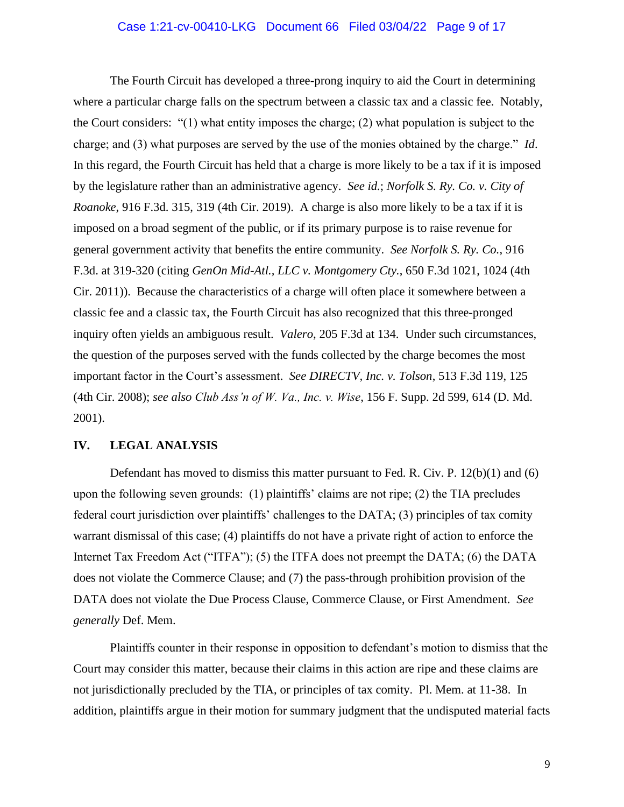## Case 1:21-cv-00410-LKG Document 66 Filed 03/04/22 Page 9 of 17

The Fourth Circuit has developed a three-prong inquiry to aid the Court in determining where a particular charge falls on the spectrum between a classic tax and a classic fee. Notably, the Court considers: "(1) what entity imposes the charge; (2) what population is subject to the charge; and (3) what purposes are served by the use of the monies obtained by the charge." *[Id](https://1.next.westlaw.com/Link/Document/FullText?findType=Y&serNum=2000066283&pubNum=0000506&originatingDoc=Iaa639b10adf711e5b10893af99153f48&refType=RP&originationContext=document&transitionType=DocumentItem&ppcid=f188b5ee68c04b878903a55aeef1f465&contextData=(sc.History*oc.Default))*. In this regard, the Fourth Circuit has held that a charge is more likely to be a tax if it is imposed by the legislature rather than an administrative agency. *See id.*; *Norfolk S. Ry. Co. v. City of Roanoke*, 916 F.3d. 315, 319 (4th Cir. 2019). A charge is also more likely to be a tax if it is imposed on a broad segment of the public, or if its primary purpose is to raise revenue for general government activity that benefits the entire community. *See Norfolk S. Ry. Co.*, 916 F.3d. at 319-320 (citing *GenOn Mid-Atl., LLC v. Montgomery Cty.*, 650 F.3d 1021, 1024 (4th Cir. 2011)). Because the characteristics of a charge will often place it somewhere between a classic fee and a classic tax, the Fourth Circuit has also recognized that this three-pronged inquiry often yields an ambiguous result. *Valero*, 205 F.3d at 134. Under such circumstances, the question of the purposes served with the funds collected by the charge becomes the most important factor in the Court's assessment. *See [DIRECTV, Inc. v. Tolson](https://1.next.westlaw.com/Link/Document/FullText?findType=Y&serNum=2014661958&pubNum=0000506&originatingDoc=Iaa639b10adf711e5b10893af99153f48&refType=RP&fi=co_pp_sp_506_125&originationContext=document&transitionType=DocumentItem&ppcid=f188b5ee68c04b878903a55aeef1f465&contextData=(sc.History*oc.Default)#co_pp_sp_506_125)*, 513 F.3d 119, 125 [\(4th Cir.](https://1.next.westlaw.com/Link/Document/FullText?findType=Y&serNum=2014661958&pubNum=0000506&originatingDoc=Iaa639b10adf711e5b10893af99153f48&refType=RP&fi=co_pp_sp_506_125&originationContext=document&transitionType=DocumentItem&ppcid=f188b5ee68c04b878903a55aeef1f465&contextData=(sc.History*oc.Default)#co_pp_sp_506_125) 2008); *see also Club Ass'n of W. Va., Inc. v. Wise*, 156 F. Supp. 2d 599, 614 (D. Md. 2001).

### **IV. LEGAL ANALYSIS**

Defendant has moved to dismiss this matter pursuant to Fed. R. Civ. P.  $12(b)(1)$  and (6) upon the following seven grounds: (1) plaintiffs' claims are not ripe; (2) the TIA precludes federal court jurisdiction over plaintiffs' challenges to the DATA; (3) principles of tax comity warrant dismissal of this case; (4) plaintiffs do not have a private right of action to enforce the Internet Tax Freedom Act ("ITFA"); (5) the ITFA does not preempt the DATA; (6) the DATA does not violate the Commerce Clause; and (7) the pass-through prohibition provision of the DATA does not violate the Due Process Clause, Commerce Clause, or First Amendment. *See generally* Def. Mem.

Plaintiffs counter in their response in opposition to defendant's motion to dismiss that the Court may consider this matter, because their claims in this action are ripe and these claims are not jurisdictionally precluded by the TIA, or principles of tax comity. Pl. Mem. at 11-38. In addition, plaintiffs argue in their motion for summary judgment that the undisputed material facts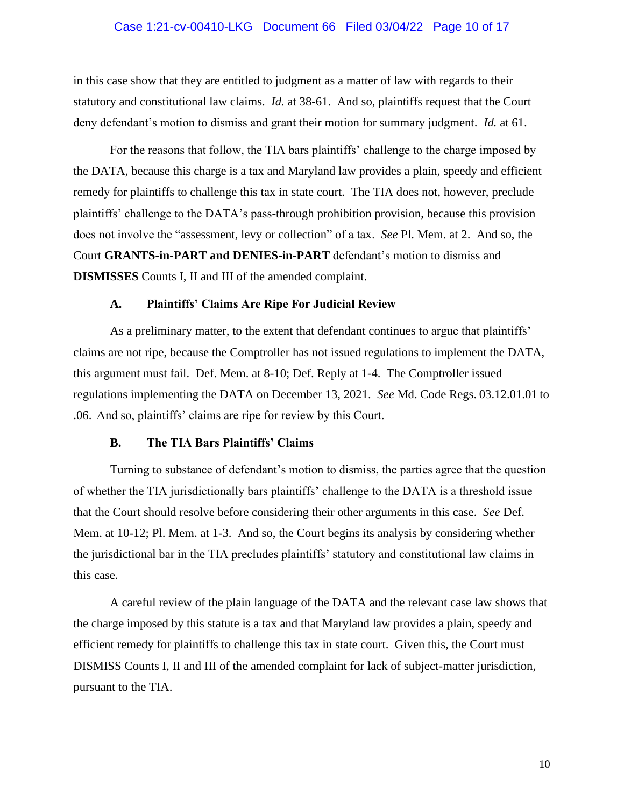### Case 1:21-cv-00410-LKG Document 66 Filed 03/04/22 Page 10 of 17

in this case show that they are entitled to judgment as a matter of law with regards to their statutory and constitutional law claims. *Id.* at 38-61. And so, plaintiffs request that the Court deny defendant's motion to dismiss and grant their motion for summary judgment. *Id.* at 61.

For the reasons that follow, the TIA bars plaintiffs' challenge to the charge imposed by the DATA, because this charge is a tax and Maryland law provides a plain, speedy and efficient remedy for plaintiffs to challenge this tax in state court. The TIA does not, however, preclude plaintiffs' challenge to the DATA's pass-through prohibition provision, because this provision does not involve the "assessment, levy or collection" of a tax. *See* Pl. Mem. at 2. And so, the Court **GRANTS-in-PART and DENIES-in-PART** defendant's motion to dismiss and **DISMISSES** Counts I, II and III of the amended complaint.

#### **A. Plaintiffs' Claims Are Ripe For Judicial Review**

As a preliminary matter, to the extent that defendant continues to argue that plaintiffs' claims are not ripe, because the Comptroller has not issued regulations to implement the DATA, this argument must fail. Def. Mem. at 8-10; Def. Reply at 1-4. The Comptroller issued regulations implementing the DATA on December 13, 2021. *See* Md. Code Regs. 03.12.01.01 to .06. And so, plaintiffs' claims are ripe for review by this Court.

### **B. The TIA Bars Plaintiffs' Claims**

Turning to substance of defendant's motion to dismiss, the parties agree that the question of whether the TIA jurisdictionally bars plaintiffs' challenge to the DATA is a threshold issue that the Court should resolve before considering their other arguments in this case. *See* Def. Mem. at 10-12; Pl. Mem. at 1-3. And so, the Court begins its analysis by considering whether the jurisdictional bar in the TIA precludes plaintiffs' statutory and constitutional law claims in this case.

A careful review of the plain language of the DATA and the relevant case law shows that the charge imposed by this statute is a tax and that Maryland law provides a plain, speedy and efficient remedy for plaintiffs to challenge this tax in state court. Given this, the Court must DISMISS Counts I, II and III of the amended complaint for lack of subject-matter jurisdiction, pursuant to the TIA.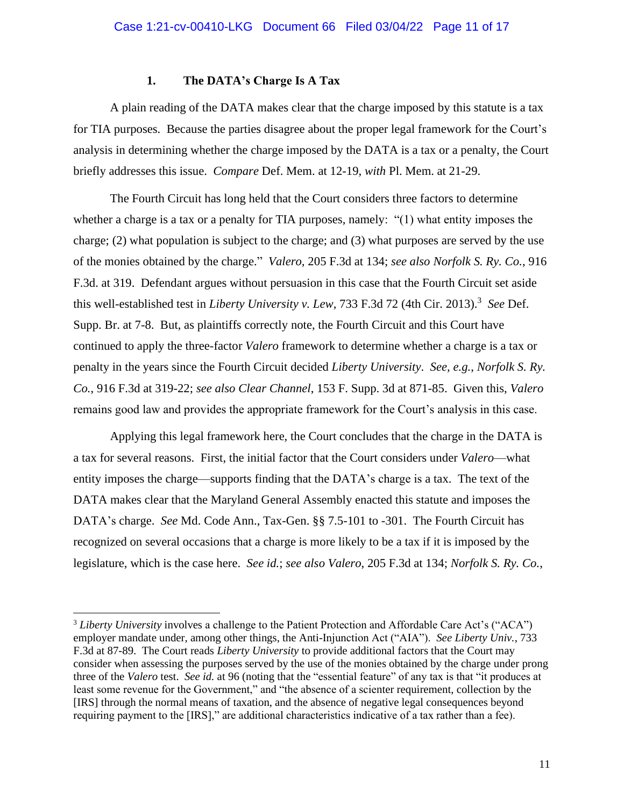### **1. The DATA's Charge Is A Tax**

A plain reading of the DATA makes clear that the charge imposed by this statute is a tax for TIA purposes. Because the parties disagree about the proper legal framework for the Court's analysis in determining whether the charge imposed by the DATA is a tax or a penalty, the Court briefly addresses this issue. *Compare* Def. Mem. at 12-19, *with* Pl. Mem. at 21-29.

The Fourth Circuit has long held that the Court considers three factors to determine whether a charge is a tax or a penalty for TIA purposes, namely: "(1) what entity imposes the charge; (2) what population is subject to the charge; and (3) what purposes are served by the use of the monies obtained by the charge." *Valero,* 205 F.3d at 134; *see also Norfolk S. Ry. Co.*, 916 F.3d. at 319. Defendant argues without persuasion in this case that the Fourth Circuit set aside this well-established test in *Liberty University v. Lew*, 733 F.3d 72 (4th Cir. 2013).<sup>3</sup> See Def. Supp. Br. at 7-8. But, as plaintiffs correctly note, the Fourth Circuit and this Court have continued to apply the three-factor *Valero* framework to determine whether a charge is a tax or penalty in the years since the Fourth Circuit decided *Liberty University*. *See, e.g.*, *Norfolk S. Ry. Co.*, 916 F.3d at 319-22; *see also Clear Channel*, 153 F. Supp. 3d at 871-85. Given this, *Valero* remains good law and provides the appropriate framework for the Court's analysis in this case.

Applying this legal framework here, the Court concludes that the charge in the DATA is a tax for several reasons. First, the initial factor that the Court considers under *Valero⸺*what entity imposes the charge⸺supports finding that the DATA's charge is a tax. The text of the DATA makes clear that the Maryland General Assembly enacted this statute and imposes the DATA's charge. *See* Md. Code Ann., Tax-Gen. §§ 7.5-101 to -301. The Fourth Circuit has recognized on several occasions that a charge is more likely to be a tax if it is imposed by the legislature, which is the case here. *See id.*; *see also Valero*, 205 F.3d at 134; *Norfolk S. Ry. Co.*,

<sup>3</sup> *Liberty University* involves a challenge to the Patient Protection and Affordable Care Act's ("ACA") employer mandate under, among other things, the Anti-Injunction Act ("AIA"). *See Liberty Univ.*, 733 F.3d at 87-89. The Court reads *Liberty University* to provide additional factors that the Court may consider when assessing the purposes served by the use of the monies obtained by the charge under prong three of the *Valero* test. *See id.* at 96 (noting that the "essential feature" of any tax is that "it produces at least some revenue for the Government," and "the absence of a scienter requirement, collection by the [IRS] through the normal means of taxation, and the absence of negative legal consequences beyond requiring payment to the [IRS]," are additional characteristics indicative of a tax rather than a fee).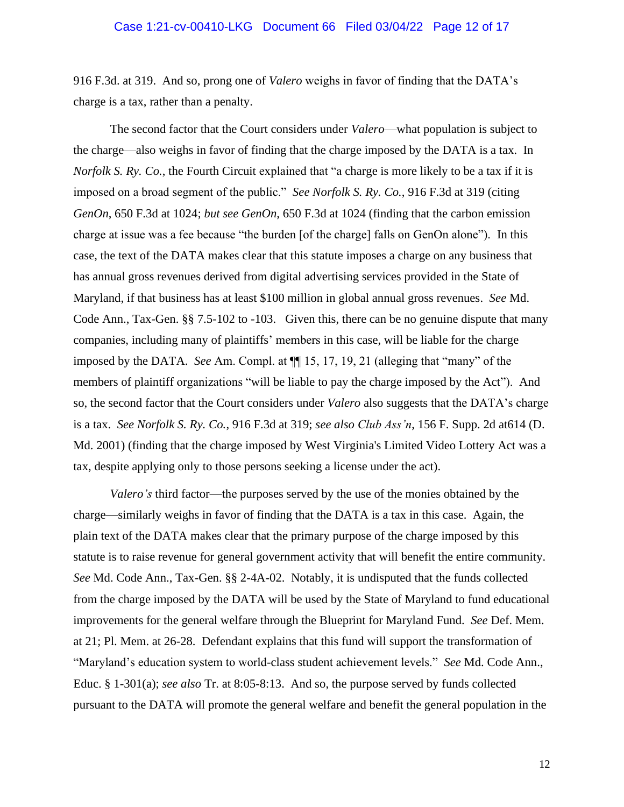### Case 1:21-cv-00410-LKG Document 66 Filed 03/04/22 Page 12 of 17

916 F.3d. at 319. And so, prong one of *Valero* weighs in favor of finding that the DATA's charge is a tax, rather than a penalty.

The second factor that the Court considers under *Valero*—what population is subject to the charge⸺also weighs in favor of finding that the charge imposed by the DATA is a tax. In *Norfolk S. Ry. Co.*, the Fourth Circuit explained that "a charge is more likely to be a tax if it is imposed on a broad segment of the public." *See Norfolk S. Ry. Co.*, 916 F.3d at 319 (citing *GenOn*, 650 F.3d at 1024; *but see GenOn*, 650 F.3d at 1024 (finding that the carbon emission charge at issue was a fee because "the burden [of the charge] falls on GenOn alone"). In this case, the text of the DATA makes clear that this statute imposes a charge on any business that has annual gross revenues derived from digital advertising services provided in the State of Maryland, if that business has at least \$100 million in global annual gross revenues. *See* Md. Code Ann., Tax-Gen. §§ 7.5-102 to -103. Given this, there can be no genuine dispute that many companies, including many of plaintiffs' members in this case, will be liable for the charge imposed by the DATA. *See* Am. Compl. at ¶¶ 15, 17, 19, 21 (alleging that "many" of the members of plaintiff organizations "will be liable to pay the charge imposed by the Act"). And so, the second factor that the Court considers under *Valero* also suggests that the DATA's charge is a tax. *See Norfolk S. Ry. Co.*, 916 F.3d at 319; *see also Club Ass'n*, 156 F. Supp. 2d at614 (D. Md. 2001) (finding that the charge imposed by West Virginia's Limited Video Lottery Act was a tax, despite applying only to those persons seeking a license under the act).

*Valero's* third factor⸺the purposes served by the use of the monies obtained by the charge⸺similarly weighs in favor of finding that the DATA is a tax in this case. Again, the plain text of the DATA makes clear that the primary purpose of the charge imposed by this statute is to raise revenue for general government activity that will benefit the entire community. *See* Md. Code Ann., Tax-Gen. §§ 2-4A-02. Notably, it is undisputed that the funds collected from the charge imposed by the DATA will be used by the State of Maryland to fund educational improvements for the general welfare through the Blueprint for Maryland Fund. *See* Def. Mem. at 21; Pl. Mem. at 26-28. Defendant explains that this fund will support the transformation of "Maryland's education system to world-class student achievement levels." *See* Md. Code Ann., Educ. § 1-301(a); *see also* Tr. at 8:05-8:13. And so, the purpose served by funds collected pursuant to the DATA will promote the general welfare and benefit the general population in the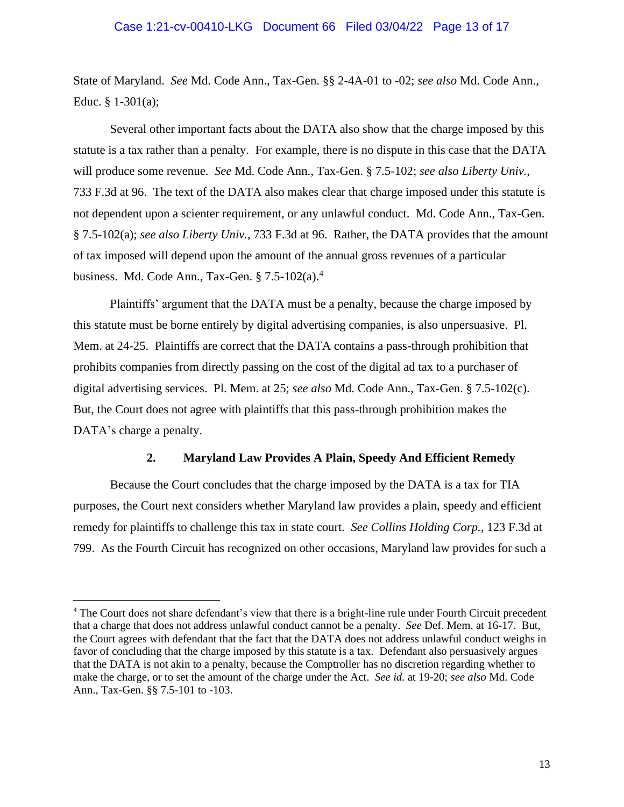### Case 1:21-cv-00410-LKG Document 66 Filed 03/04/22 Page 13 of 17

State of Maryland. *See* Md. Code Ann., Tax-Gen. §§ 2-4A-01 to -02; *see also* Md. Code Ann., Educ. § 1-301(a);

Several other important facts about the DATA also show that the charge imposed by this statute is a tax rather than a penalty. For example, there is no dispute in this case that the DATA will produce some revenue. *See* Md. Code Ann., Tax-Gen. § 7.5-102; *see also Liberty Univ.*, 733 F.3d at 96. The text of the DATA also makes clear that charge imposed under this statute is not dependent upon a scienter requirement, or any unlawful conduct. Md. Code Ann., Tax-Gen. § 7.5-102(a); *see also Liberty Univ.*, 733 F.3d at 96. Rather, the DATA provides that the amount of tax imposed will depend upon the amount of the annual gross revenues of a particular business. Md. Code Ann., Tax-Gen.  $\S 7.5$ -102(a).<sup>4</sup>

Plaintiffs' argument that the DATA must be a penalty, because the charge imposed by this statute must be borne entirely by digital advertising companies, is also unpersuasive. Pl. Mem. at 24-25. Plaintiffs are correct that the DATA contains a pass-through prohibition that prohibits companies from directly passing on the cost of the digital ad tax to a purchaser of digital advertising services. Pl. Mem. at 25; *see also* Md. Code Ann., Tax-Gen. § 7.5-102(c). But, the Court does not agree with plaintiffs that this pass-through prohibition makes the DATA's charge a penalty.

### **2. Maryland Law Provides A Plain, Speedy And Efficient Remedy**

Because the Court concludes that the charge imposed by the DATA is a tax for TIA purposes, the Court next considers whether Maryland law provides a plain, speedy and efficient remedy for plaintiffs to challenge this tax in state court. *See Collins Holding Corp.*, 123 F.3d at 799. As the Fourth Circuit has recognized on other occasions, Maryland law provides for such a

<sup>&</sup>lt;sup>4</sup> The Court does not share defendant's view that there is a bright-line rule under Fourth Circuit precedent that a charge that does not address unlawful conduct cannot be a penalty. *See* Def. Mem. at 16-17. But, the Court agrees with defendant that the fact that the DATA does not address unlawful conduct weighs in favor of concluding that the charge imposed by this statute is a tax. Defendant also persuasively argues that the DATA is not akin to a penalty, because the Comptroller has no discretion regarding whether to make the charge, or to set the amount of the charge under the Act. *See id.* at 19-20; *see also* Md. Code Ann., Tax-Gen. §§ 7.5-101 to -103.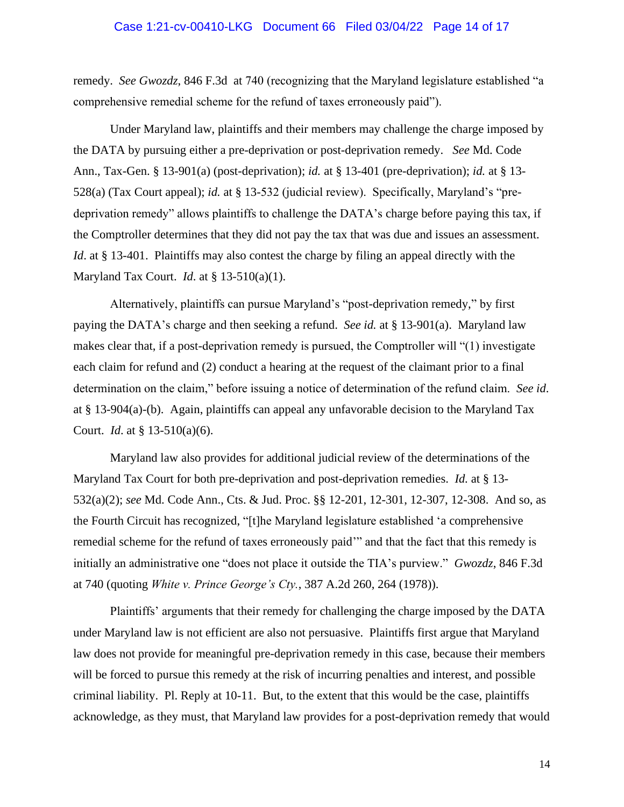### Case 1:21-cv-00410-LKG Document 66 Filed 03/04/22 Page 14 of 17

remedy. *See Gwozdz*, 846 F.3d at 740 (recognizing that the Maryland legislature established "a comprehensive remedial scheme for the refund of taxes erroneously paid").

Under Maryland law, plaintiffs and their members may challenge the charge imposed by the DATA by pursuing either a pre-deprivation or post-deprivation remedy. *See* Md. Code Ann., Tax-Gen. § 13-901(a) (post-deprivation); *id.* at § 13-401 (pre-deprivation); *id.* at § 13- 528(a) (Tax Court appeal); *id.* at § 13-532 (judicial review). Specifically, Maryland's "predeprivation remedy" allows plaintiffs to challenge the DATA's charge before paying this tax, if the Comptroller determines that they did not pay the tax that was due and issues an assessment. *Id.* at § 13-401. Plaintiffs may also contest the charge by filing an appeal directly with the Maryland Tax Court. *Id*. at § 13-510(a)(1).

Alternatively, plaintiffs can pursue Maryland's "post-deprivation remedy," by first paying the DATA's charge and then seeking a refund. *See id.* at § 13-901(a). Maryland law makes clear that, if a post-deprivation remedy is pursued, the Comptroller will "(1) investigate each claim for refund and (2) conduct a hearing at the request of the claimant prior to a final determination on the claim," before issuing a notice of determination of the refund claim. *See id*. at § 13-904(a)-(b). Again, plaintiffs can appeal any unfavorable decision to the Maryland Tax Court. *Id*. at § 13-510(a)(6).

Maryland law also provides for additional judicial review of the determinations of the Maryland Tax Court for both pre-deprivation and post-deprivation remedies. *Id.* at § 13- 532(a)(2); *see* Md. Code Ann., Cts. & Jud. Proc. §§ 12-201, 12-301, 12-307, 12-308. And so, as the Fourth Circuit has recognized, "[t]he Maryland legislature established 'a comprehensive remedial scheme for the refund of taxes erroneously paid'" and that the fact that this remedy is initially an administrative one "does not place it outside the TIA's purview." *Gwozdz*, 846 F.3d at 740 (quoting *White v. Prince George's Cty.*, 387 A.2d 260, 264 (1978)).

Plaintiffs' arguments that their remedy for challenging the charge imposed by the DATA under Maryland law is not efficient are also not persuasive. Plaintiffs first argue that Maryland law does not provide for meaningful pre-deprivation remedy in this case, because their members will be forced to pursue this remedy at the risk of incurring penalties and interest, and possible criminal liability. Pl. Reply at 10-11. But, to the extent that this would be the case, plaintiffs acknowledge, as they must, that Maryland law provides for a post-deprivation remedy that would

14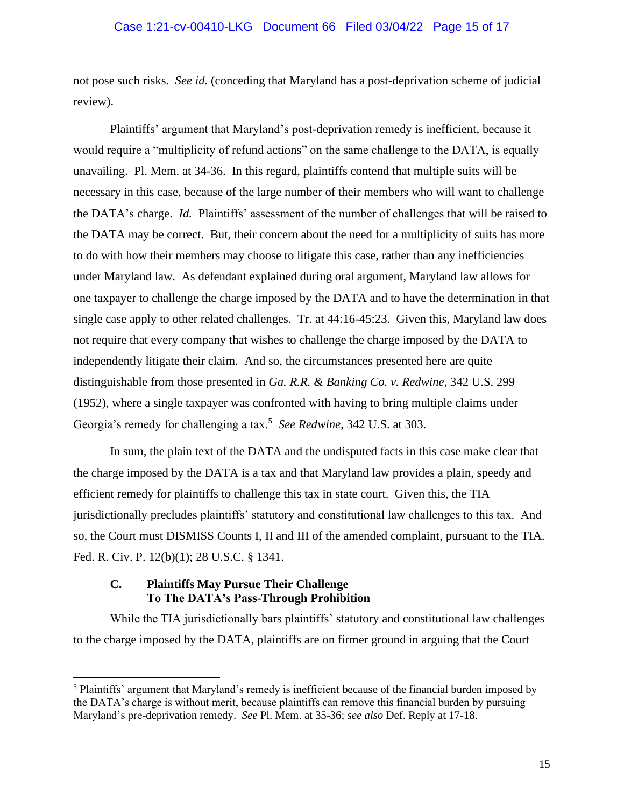### Case 1:21-cv-00410-LKG Document 66 Filed 03/04/22 Page 15 of 17

not pose such risks. *See id.* (conceding that Maryland has a post-deprivation scheme of judicial review).

Plaintiffs' argument that Maryland's post-deprivation remedy is inefficient, because it would require a "multiplicity of refund actions" on the same challenge to the DATA, is equally unavailing. Pl. Mem. at 34-36. In this regard, plaintiffs contend that multiple suits will be necessary in this case, because of the large number of their members who will want to challenge the DATA's charge. *Id.* Plaintiffs' assessment of the number of challenges that will be raised to the DATA may be correct. But, their concern about the need for a multiplicity of suits has more to do with how their members may choose to litigate this case, rather than any inefficiencies under Maryland law. As defendant explained during oral argument, Maryland law allows for one taxpayer to challenge the charge imposed by the DATA and to have the determination in that single case apply to other related challenges. Tr. at 44:16-45:23. Given this, Maryland law does not require that every company that wishes to challenge the charge imposed by the DATA to independently litigate their claim. And so, the circumstances presented here are quite distinguishable from those presented in *Ga. R.R. & Banking Co. v. Redwine*, 342 U.S. 299 (1952), where a single taxpayer was confronted with having to bring multiple claims under Georgia's remedy for challenging a tax.<sup>5</sup> See Redwine, 342 U.S. at 303.

In sum, the plain text of the DATA and the undisputed facts in this case make clear that the charge imposed by the DATA is a tax and that Maryland law provides a plain, speedy and efficient remedy for plaintiffs to challenge this tax in state court. Given this, the TIA jurisdictionally precludes plaintiffs' statutory and constitutional law challenges to this tax. And so, the Court must DISMISS Counts I, II and III of the amended complaint, pursuant to the TIA. Fed. R. Civ. P. 12(b)(1); 28 U.S.C. § 1341.

### **C. Plaintiffs May Pursue Their Challenge To The DATA's Pass-Through Prohibition**

While the TIA jurisdictionally bars plaintiffs' statutory and constitutional law challenges to the charge imposed by the DATA, plaintiffs are on firmer ground in arguing that the Court

<sup>5</sup> Plaintiffs' argument that Maryland's remedy is inefficient because of the financial burden imposed by the DATA's charge is without merit, because plaintiffs can remove this financial burden by pursuing Maryland's pre-deprivation remedy. *See* Pl. Mem. at 35-36; *see also* Def. Reply at 17-18.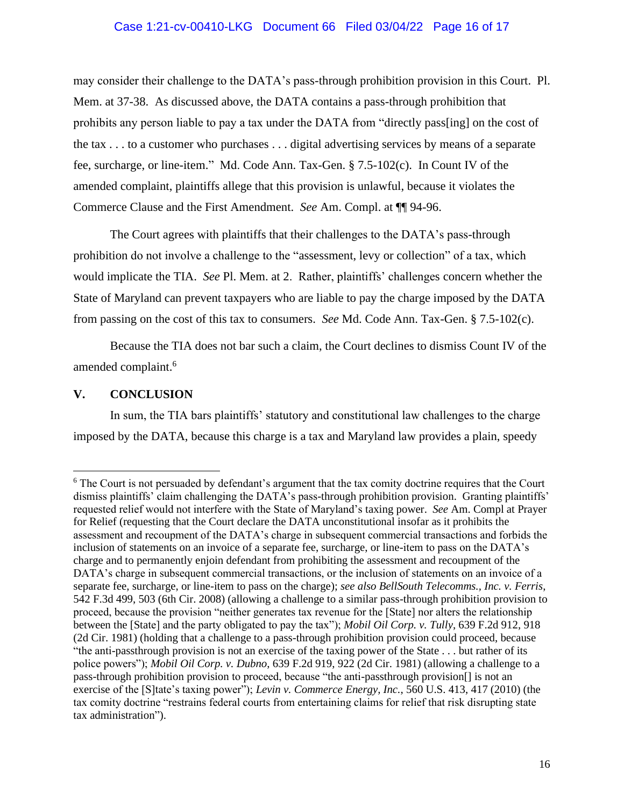# Case 1:21-cv-00410-LKG Document 66 Filed 03/04/22 Page 16 of 17

may consider their challenge to the DATA's pass-through prohibition provision in this Court. Pl. Mem. at 37-38. As discussed above, the DATA contains a pass-through prohibition that prohibits any person liable to pay a tax under the DATA from "directly pass[ing] on the cost of the tax . . . to a customer who purchases . . . digital advertising services by means of a separate fee, surcharge, or line-item." Md. Code Ann. Tax-Gen. § 7.5-102(c). In Count IV of the amended complaint, plaintiffs allege that this provision is unlawful, because it violates the Commerce Clause and the First Amendment. *See* Am. Compl. at ¶¶ 94-96.

The Court agrees with plaintiffs that their challenges to the DATA's pass-through prohibition do not involve a challenge to the "assessment, levy or collection" of a tax, which would implicate the TIA. *See* Pl. Mem. at 2. Rather, plaintiffs' challenges concern whether the State of Maryland can prevent taxpayers who are liable to pay the charge imposed by the DATA from passing on the cost of this tax to consumers. *See* Md. Code Ann. Tax-Gen. § 7.5-102(c).

Because the TIA does not bar such a claim, the Court declines to dismiss Count IV of the amended complaint.<sup>6</sup>

### **V. CONCLUSION**

In sum, the TIA bars plaintiffs' statutory and constitutional law challenges to the charge imposed by the DATA, because this charge is a tax and Maryland law provides a plain, speedy

<sup>6</sup> The Court is not persuaded by defendant's argument that the tax comity doctrine requires that the Court dismiss plaintiffs' claim challenging the DATA's pass-through prohibition provision. Granting plaintiffs' requested relief would not interfere with the State of Maryland's taxing power. *See* Am. Compl at Prayer for Relief (requesting that the Court declare the DATA unconstitutional insofar as it prohibits the assessment and recoupment of the DATA's charge in subsequent commercial transactions and forbids the inclusion of statements on an invoice of a separate fee, surcharge, or line-item to pass on the DATA's charge and to permanently enjoin defendant from prohibiting the assessment and recoupment of the DATA's charge in subsequent commercial transactions, or the inclusion of statements on an invoice of a separate fee, surcharge, or line-item to pass on the charge); *see also BellSouth Telecomms., Inc. v. Ferris*, 542 F.3d 499, 503 (6th Cir. 2008) (allowing a challenge to a similar pass-through prohibition provision to proceed, because the provision "neither generates tax revenue for the [State] nor alters the relationship between the [State] and the party obligated to pay the tax"); *Mobil Oil Corp. v. Tully*, 639 F.2d 912, 918 (2d Cir. 1981) (holding that a challenge to a pass-through prohibition provision could proceed, because "the anti-passthrough provision is not an exercise of the taxing power of the State . . . but rather of its police powers"); *Mobil Oil Corp. v. Dubno*, 639 F.2d 919, 922 (2d Cir. 1981) (allowing a challenge to a pass-through prohibition provision to proceed, because "the anti-passthrough provision[] is not an exercise of the [S]tate's taxing power"); *Levin v. Commerce Energy, Inc.*, 560 U.S. 413, 417 (2010) (the tax comity doctrine "restrains federal courts from entertaining claims for relief that risk disrupting state tax administration").